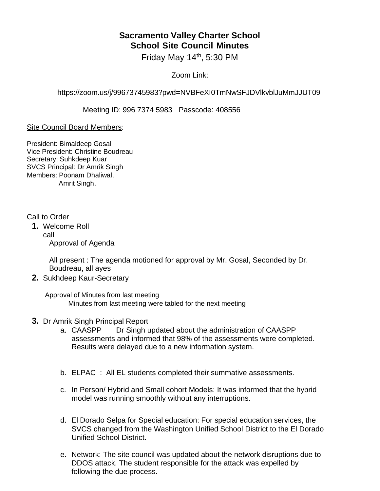## **Sacramento Valley Charter School School Site Council Minutes**

Friday May  $14<sup>th</sup>$ , 5:30 PM

Zoom Link:

https://zoom.us/j/99673745983?pwd=NVBFeXI0TmNwSFJDVlkvblJuMmJJUT09

Meeting ID: 996 7374 5983 Passcode: 408556

## Site Council Board Members:

President: Bimaldeep Gosal Vice President: Christine Boudreau Secretary: Suhkdeep Kuar SVCS Principal: Dr Amrik Singh Members: Poonam Dhaliwal, Amrit Singh.

## Call to Order

**1.** Welcome Roll call Approval of Agenda

> All present : The agenda motioned for approval by Mr. Gosal, Seconded by Dr. Boudreau, all ayes

**2.** Sukhdeep Kaur-Secretary

Approval of Minutes from last meeting Minutes from last meeting were tabled for the next meeting

- **3.** Dr Amrik Singh Principal Report
	- a. CAASPP Dr Singh updated about the administration of CAASPP assessments and informed that 98% of the assessments were completed. Results were delayed due to a new information system.
	- b. ELPAC : All EL students completed their summative assessments.
	- c. In Person/ Hybrid and Small cohort Models: It was informed that the hybrid model was running smoothly without any interruptions.
	- d. El Dorado Selpa for Special education: For special education services, the SVCS changed from the Washington Unified School District to the El Dorado Unified School District.
	- e. Network: The site council was updated about the network disruptions due to DDOS attack. The student responsible for the attack was expelled by following the due process.